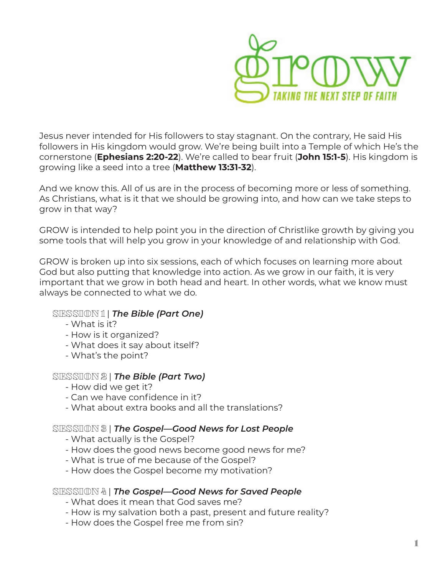

Jesus never intended for His followers to stay stagnant. On the contrary, He said His followers in His kingdom would grow. We're being built into a Temple of which He's the cornerstone (**Ephesians 2:20-22**). We're called to bear fruit (**John 15:1-5**). His kingdom is growing like a seed into a tree (**Matthew 13:31-32**).

And we know this. All of us are in the process of becoming more or less of something. As Christians, what is it that we should be growing into, and how can we take steps to grow in that way?

GROW is intended to help point you in the direction of Christlike growth by giving you some tools that will help you grow in your knowledge of and relationship with God.

GROW is broken up into six sessions, each of which focuses on learning more about God but also putting that knowledge into action. As we grow in our faith, it is very important that we grow in both head and heart. In other words, what we know must always be connected to what we do.

# SESSION 1 | *The Bible (Part One)*

- What is it?
- How is it organized?
- What does it say about itself?
- What's the point?

#### SESSION 2 | *The Bible (Part Two)*

- How did we get it?
- Can we have confidence in it?
- What about extra books and all the translations?

#### SESSION 3 | *The Gospel—Good News for Lost People*

- What actually is the Gospel?
- How does the good news become good news for me?
- What is true of me because of the Gospel?
- How does the Gospel become my motivation?

#### SESSION 4 | *The Gospel—Good News for Saved People*

- What does it mean that God saves me?
- How is my salvation both a past, present and future reality?
- How does the Gospel free me from sin?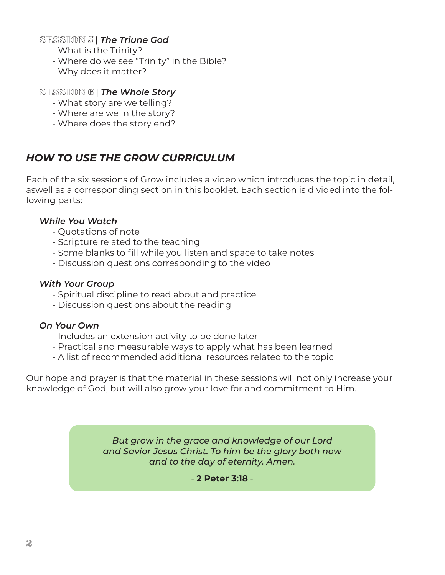SESSION 5 | *The Triune God*

- What is the Trinity?
- Where do we see "Trinity" in the Bible?
- Why does it matter?

# SESSION 6 | *The Whole Story*

- What story are we telling?
- Where are we in the story?
- Where does the story end?

# *HOW TO USE THE GROW CURRICULUM*

Each of the six sessions of Grow includes a video which introduces the topic in detail, aswell as a corresponding section in this booklet. Each section is divided into the following parts:

## *While You Watch*

- Quotations of note
- Scripture related to the teaching
- Some blanks to fill while you listen and space to take notes
- Discussion questions corresponding to the video

# *With Your Group*

- Spiritual discipline to read about and practice
- Discussion questions about the reading

# *On Your Own*

- Includes an extension activity to be done later
- Practical and measurable ways to apply what has been learned
- A list of recommended additional resources related to the topic

Our hope and prayer is that the material in these sessions will not only increase your knowledge of God, but will also grow your love for and commitment to Him.

> *But grow in the grace and knowledge of our Lord and Savior Jesus Christ. To him be the glory both now and to the day of eternity. Amen.*

> > - **2 Peter 3:18** -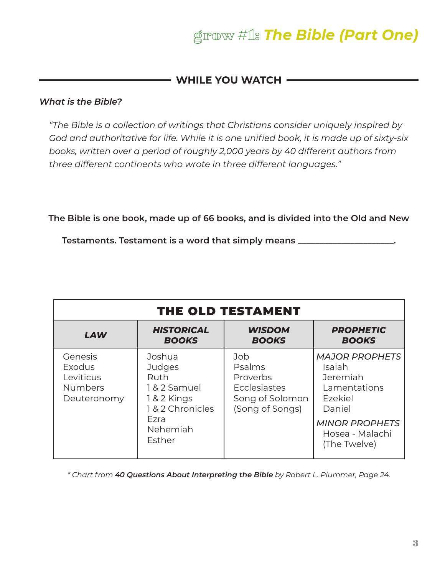# grow #1: *The Bible (Part One)*

# **WHILE YOU WATCH**

### *What is the Bible?*

*"The Bible is a collection of writings that Christians consider uniquely inspired by God and authoritative for life. While it is one unified book, it is made up of sixty-six books, written over a period of roughly 2,000 years by 40 different authors from three different continents who wrote in three different languages."*

**The Bible is one book, made up of 66 books, and is divided into the Old and New**

**Testaments. Testament is a word that simply means \_\_\_\_\_\_\_\_\_\_\_\_\_\_\_\_\_\_\_\_\_\_.**

| THE OLD TESTAMENT                                                      |                                                                                                                  |                                                                                        |                                                                                                                                              |  |
|------------------------------------------------------------------------|------------------------------------------------------------------------------------------------------------------|----------------------------------------------------------------------------------------|----------------------------------------------------------------------------------------------------------------------------------------------|--|
| <b>LAW</b>                                                             | <b>HISTORICAL</b><br><b>BOOKS</b>                                                                                | <b>WISDOM</b><br><b>BOOKS</b>                                                          | <b>PROPHETIC</b><br><b>BOOKS</b>                                                                                                             |  |
| Genesis<br><b>Exodus</b><br>Leviticus<br><b>Numbers</b><br>Deuteronomy | Joshua<br><b>Judges</b><br>Ruth<br>1 & 2 Samuel<br>1 & 2 Kings<br>1 & 2 Chronicles<br>Ezra<br>Nehemiah<br>Esther | Job<br>Psalms<br><b>Proverbs</b><br>Ecclesiastes<br>Song of Solomon<br>(Song of Songs) | <b>MAJOR PROPHETS</b><br>Isaiah<br>Jeremiah<br>Lamentations<br>Ezekiel<br>Daniel<br><b>MINOR PROPHETS</b><br>Hosea - Malachi<br>(The Twelve) |  |

*\* Chart from 40 Questions About Interpreting the Bible by Robert L. Plummer, Page 24.*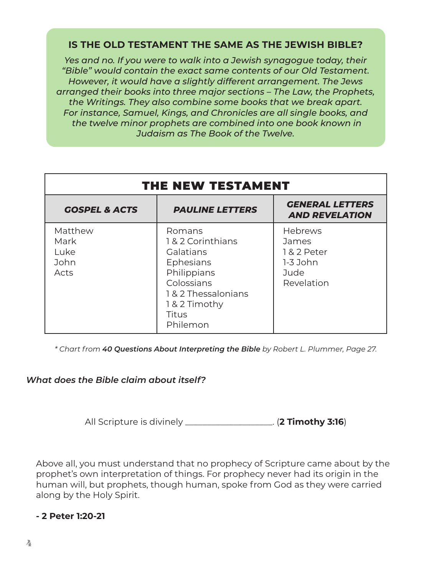# **IS THE OLD TESTAMENT THE SAME AS THE JEWISH BIBLE?**

*Yes and no. If you were to walk into a Jewish synagogue today, their "Bible" would contain the exact same contents of our Old Testament. However, it would have a slightly different arrangement. The Jews arranged their books into three major sections – The Law, the Prophets, the Writings. They also combine some books that we break apart. For instance, Samuel, Kings, and Chronicles are all single books, and the twelve minor prophets are combined into one book known in Judaism as The Book of the Twelve.*

| THE NEW TESTAMENT                       |                                                                                                                                           |                                                                     |  |  |
|-----------------------------------------|-------------------------------------------------------------------------------------------------------------------------------------------|---------------------------------------------------------------------|--|--|
| <b>GOSPEL &amp; ACTS</b>                | <b>PAULINE LETTERS</b>                                                                                                                    | <b>GENERAL LETTERS</b><br><b>AND REVELATION</b>                     |  |  |
| Matthew<br>Mark<br>Luke<br>John<br>Acts | Romans<br>1&2 Corinthians<br>Galatians<br>Ephesians<br>Philippians<br>Colossians<br>1&2 Thessalonians<br>1&2 Timothy<br>Titus<br>Philemon | Hebrews<br>James<br>1 & 2 Peter<br>$1-3$ John<br>Jude<br>Revelation |  |  |

*\* Chart from 40 Questions About Interpreting the Bible by Robert L. Plummer, Page 27.*

#### *What does the Bible claim about itself?*

All Scripture is divinely \_\_\_\_\_\_\_\_\_\_\_\_\_\_\_\_\_\_\_\_. (**2 Timothy 3:16**)

Above all, you must understand that no prophecy of Scripture came about by the prophet's own interpretation of things. For prophecy never had its origin in the human will, but prophets, though human, spoke from God as they were carried along by the Holy Spirit.

#### **- 2 Peter 1:20-21**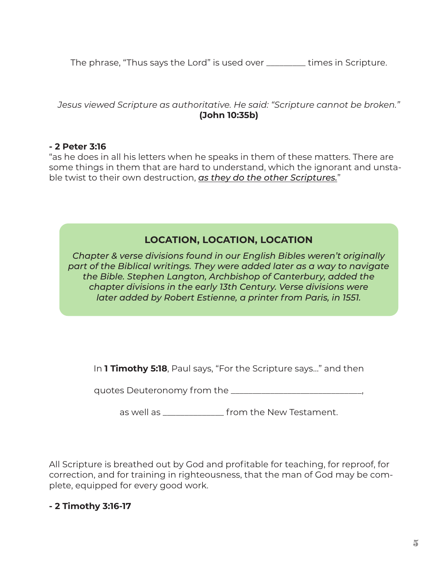The phrase, "Thus says the Lord" is used over \_\_\_\_\_\_\_\_\_ times in Scripture.

*Jesus viewed Scripture as authoritative. He said: "Scripture cannot be broken."*  **(John 10:35b)**

### **- 2 Peter 3:16**

"as he does in all his letters when he speaks in them of these matters. There are some things in them that are hard to understand, which the ignorant and unstable twist to their own destruction, *as they do the other Scriptures.*"

# **LOCATION, LOCATION, LOCATION**

*Chapter & verse divisions found in our English Bibles weren't originally part of the Biblical writings. They were added later as a way to navigate the Bible. Stephen Langton, Archbishop of Canterbury, added the chapter divisions in the early 13th Century. Verse divisions were later added by Robert Estienne, a printer from Paris, in 1551.*

In **1 Timothy 5:18**, Paul says, "For the Scripture says…" and then

quotes Deuteronomy from the \_\_\_\_\_\_\_\_\_\_\_\_\_\_\_\_\_\_\_\_\_\_\_\_\_\_\_\_\_\_,

as well as \_\_\_\_\_\_\_\_\_\_\_\_\_\_ from the New Testament.

All Scripture is breathed out by God and profitable for teaching, for reproof, for correction, and for training in righteousness, that the man of God may be complete, equipped for every good work.

# **- 2 Timothy 3:16-17**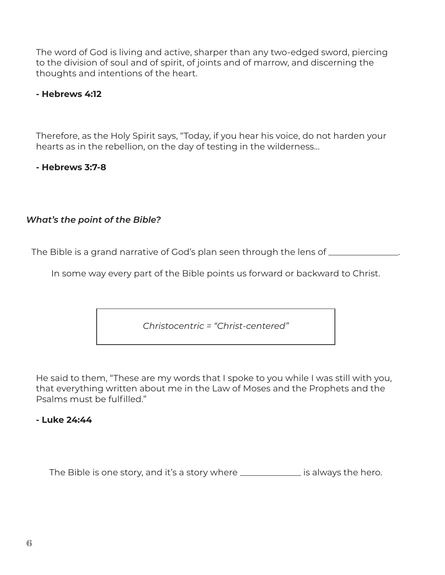The word of God is living and active, sharper than any two-edged sword, piercing to the division of soul and of spirit, of joints and of marrow, and discerning the thoughts and intentions of the heart.

## **- Hebrews 4:12**

Therefore, as the Holy Spirit says, "Today, if you hear his voice, do not harden your hearts as in the rebellion, on the day of testing in the wilderness…

**- Hebrews 3:7-8**

# *What's the point of the Bible?*

The Bible is a grand narrative of God's plan seen through the lens of \_\_\_\_\_\_\_\_\_\_

In some way every part of the Bible points us forward or backward to Christ.

*Christocentric = "Christ-centered"*

He said to them, "These are my words that I spoke to you while I was still with you, that everything written about me in the Law of Moses and the Prophets and the Psalms must be fulfilled."

# **- Luke 24:44**

The Bible is one story, and it's a story where \_\_\_\_\_\_\_\_\_\_\_\_\_\_ is always the hero.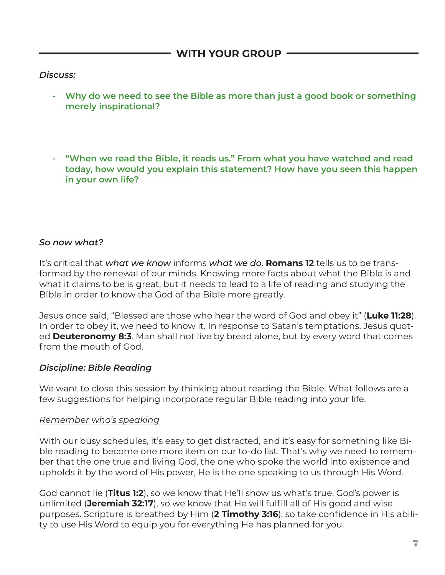**WITH YOUR GROUP**

### *Discuss:*

- **Why do we need to see the Bible as more than just a good book or something merely inspirational?**
- **- "When we read the Bible, it reads us." From what you have watched and read today, how would you explain this statement? How have you seen this happen in your own life?**

## *So now what?*

It's critical that *what we know* informs *what we do*. **Romans 12** tells us to be transformed by the renewal of our minds. Knowing more facts about what the Bible is and what it claims to be is great, but it needs to lead to a life of reading and studying the Bible in order to know the God of the Bible more greatly.

Jesus once said, "Blessed are those who hear the word of God and obey it" (**Luke 11:28**). In order to obey it, we need to know it. In response to Satan's temptations, Jesus quoted **Deuteronomy 8:3**. Man shall not live by bread alone, but by every word that comes from the mouth of God.

#### *Discipline: Bible Reading*

We want to close this session by thinking about reading the Bible. What follows are a few suggestions for helping incorporate regular Bible reading into your life.

#### *Remember who's speaking*

With our busy schedules, it's easy to get distracted, and it's easy for something like Bible reading to become one more item on our to-do list. That's why we need to remember that the one true and living God, the one who spoke the world into existence and upholds it by the word of His power, He is the one speaking to us through His Word.

God cannot lie (**Titus 1:2**), so we know that He'll show us what's true. God's power is unlimited (**Jeremiah 32:17**), so we know that He will fulfill all of His good and wise purposes. Scripture is breathed by Him (**2 Timothy 3:16**), so take confidence in His ability to use His Word to equip you for everything He has planned for you.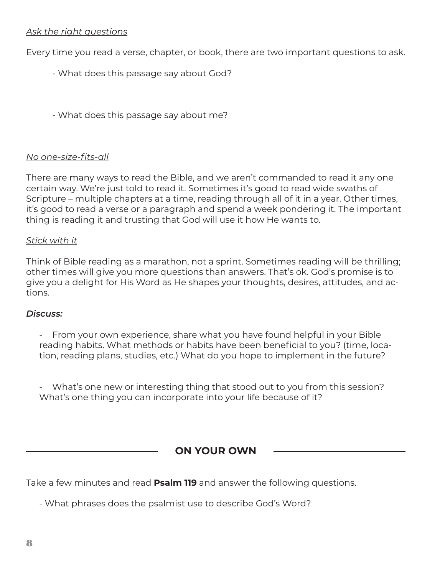### *Ask the right questions*

Every time you read a verse, chapter, or book, there are two important questions to ask.

- What does this passage say about God?
- What does this passage say about me?

#### *No one-size-fits-all*

There are many ways to read the Bible, and we aren't commanded to read it any one certain way. We're just told to read it. Sometimes it's good to read wide swaths of Scripture – multiple chapters at a time, reading through all of it in a year. Other times, it's good to read a verse or a paragraph and spend a week pondering it. The important thing is reading it and trusting that God will use it how He wants to.

#### *Stick with it*

Think of Bible reading as a marathon, not a sprint. Sometimes reading will be thrilling; other times will give you more questions than answers. That's ok. God's promise is to give you a delight for His Word as He shapes your thoughts, desires, attitudes, and actions.

#### *Discuss:*

- From your own experience, share what you have found helpful in your Bible reading habits. What methods or habits have been beneficial to you? (time, location, reading plans, studies, etc.) What do you hope to implement in the future?

What's one new or interesting thing that stood out to you from this session? What's one thing you can incorporate into your life because of it?

**ON YOUR OWN**

Take a few minutes and read **Psalm 119** and answer the following questions.

- What phrases does the psalmist use to describe God's Word?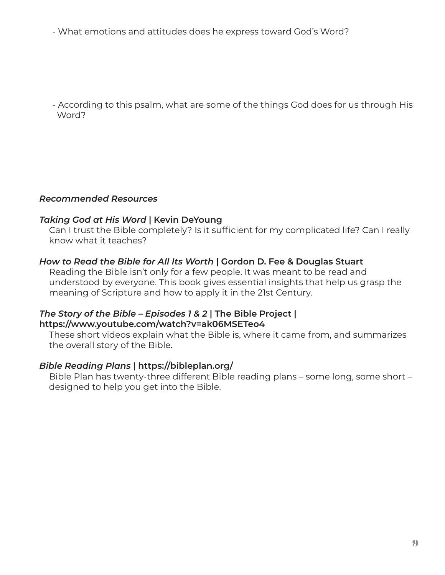- What emotions and attitudes does he express toward God's Word?

- According to this psalm, what are some of the things God does for us through His Word?

## *Recommended Resources*

#### *Taking God at His Word* **| Kevin DeYoung**

Can I trust the Bible completely? Is it sufficient for my complicated life? Can I really know what it teaches?

#### *How to Read the Bible for All Its Worth* **| Gordon D. Fee & Douglas Stuart**

Reading the Bible isn't only for a few people. It was meant to be read and understood by everyone. This book gives essential insights that help us grasp the meaning of Scripture and how to apply it in the 21st Century.

#### *The Story of the Bible – Episodes 1 & 2* **| The Bible Project | https://www.youtube.com/watch?v=ak06MSETeo4**

These short videos explain what the Bible is, where it came from, and summarizes the overall story of the Bible.

#### *Bible Reading Plans* **| https://bibleplan.org/**

Bible Plan has twenty-three different Bible reading plans – some long, some short – designed to help you get into the Bible.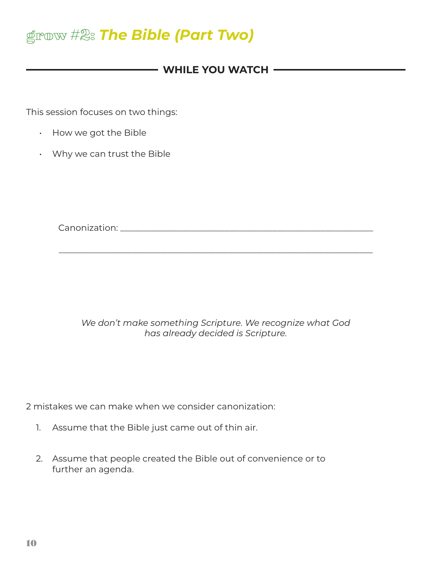# grow #2: *The Bible (Part Two)*

# - WHILE YOU WATCH  $-$

This session focuses on two things:

- How we got the Bible
- Why we can trust the Bible

Canonization: **Example 2018** 

*We don't make something Scripture. We recognize what God has already decided is Scripture.*

\_\_\_\_\_\_\_\_\_\_\_\_\_\_\_\_\_\_\_\_\_\_\_\_\_\_\_\_\_\_\_\_\_\_\_\_\_\_\_\_\_\_\_\_\_\_\_\_\_\_\_\_\_\_\_\_\_\_\_\_\_\_\_\_\_\_\_\_\_\_\_\_

2 mistakes we can make when we consider canonization:

- 1. Assume that the Bible just came out of thin air.
- 2. Assume that people created the Bible out of convenience or to further an agenda.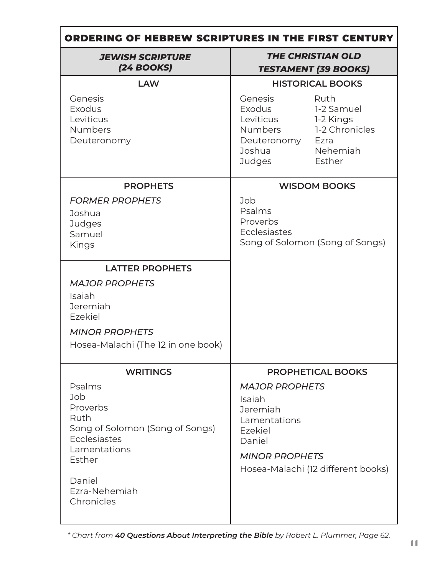| ORDERING OF HEBREW SCRIPTURES IN THE FIRST CENTURY                                                                                                                         |                                                                                                                                                                                                                                                                                                          |  |  |  |
|----------------------------------------------------------------------------------------------------------------------------------------------------------------------------|----------------------------------------------------------------------------------------------------------------------------------------------------------------------------------------------------------------------------------------------------------------------------------------------------------|--|--|--|
| <b>JEWISH SCRIPTURE</b><br>$(24$ BOOKS)                                                                                                                                    | <b>THE CHRISTIAN OLD</b><br><b>TESTAMENT (39 BOOKS)</b>                                                                                                                                                                                                                                                  |  |  |  |
| <b>LAW</b><br>Genesis<br>Exodus<br>Leviticus<br><b>Numbers</b><br>Deuteronomy<br><b>PROPHETS</b><br><b>FORMER PROPHETS</b><br>Joshua<br>Judges<br>Samuel<br>Kings          | <b>HISTORICAL BOOKS</b><br>Genesis<br>Ruth<br>Exodus<br>1-2 Samuel<br>Leviticus<br>1-2 Kings<br>1-2 Chronicles<br>Numbers<br>Deuteronomy<br>Ezra<br>Nehemiah<br>Joshua<br><b>Judges</b><br>Esther<br><b>WISDOM BOOKS</b><br>Job<br>Psalms<br>Proverbs<br>Ecclesiastes<br>Song of Solomon (Song of Songs) |  |  |  |
| <b>LATTER PROPHETS</b><br><b>MAJOR PROPHETS</b><br>Isaiah<br>Jeremiah<br>Ezekiel<br><b>MINOR PROPHETS</b><br>Hosea-Malachi (The 12 in one book)                            |                                                                                                                                                                                                                                                                                                          |  |  |  |
| <b>WRITINGS</b><br>Psalms<br>Job<br>Proverbs<br>Ruth<br>Song of Solomon (Song of Songs)<br>Ecclesiastes<br>Lamentations<br>Esther<br>Daniel<br>Ezra-Nehemiah<br>Chronicles | <b>PROPHETICAL BOOKS</b><br><b>MAJOR PROPHETS</b><br>Isaiah<br>Jeremiah<br>Lamentations<br>Ezekiel<br>Daniel<br><b>MINOR PROPHETS</b><br>Hosea-Malachi (12 different books)                                                                                                                              |  |  |  |

*\* Chart from 40 Questions About Interpreting the Bible by Robert L. Plummer, Page 62.*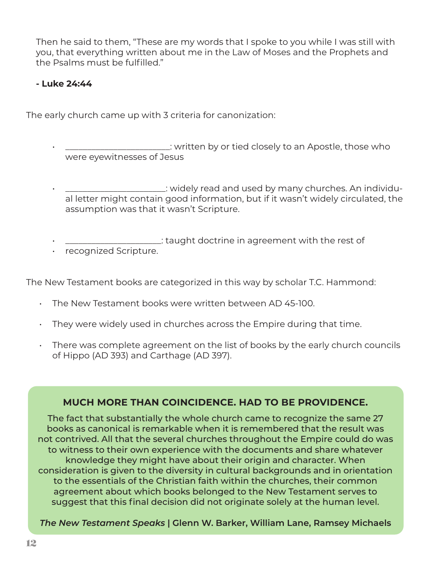Then he said to them, "These are my words that I spoke to you while I was still with you, that everything written about me in the Law of Moses and the Prophets and the Psalms must be fulfilled."

# **- Luke 24:44**

The early church came up with 3 criteria for canonization:

- \_\_\_\_\_\_\_\_\_\_\_\_\_\_\_\_\_\_\_\_\_\_\_\_: written by or tied closely to an Apostle, those who were eyewitnesses of Jesus
- \_\_\_\_\_\_\_\_\_\_\_\_\_\_\_\_\_\_\_\_\_\_\_: widely read and used by many churches. An individual letter might contain good information, but if it wasn't widely circulated, the assumption was that it wasn't Scripture.
- \_\_\_\_\_\_\_\_\_\_\_\_\_\_\_\_\_\_\_\_\_\_: taught doctrine in agreement with the rest of
- recognized Scripture.

The New Testament books are categorized in this way by scholar T.C. Hammond:

- The New Testament books were written between AD 45-100.
- $\cdot$  They were widely used in churches across the Empire during that time.
- There was complete agreement on the list of books by the early church councils of Hippo (AD 393) and Carthage (AD 397).

# **MUCH MORE THAN COINCIDENCE. HAD TO BE PROVIDENCE.**

The fact that substantially the whole church came to recognize the same 27 books as canonical is remarkable when it is remembered that the result was not contrived. All that the several churches throughout the Empire could do was to witness to their own experience with the documents and share whatever knowledge they might have about their origin and character. When consideration is given to the diversity in cultural backgrounds and in orientation to the essentials of the Christian faith within the churches, their common agreement about which books belonged to the New Testament serves to suggest that this final decision did not originate solely at the human level.

*The New Testament Speaks* **| Glenn W. Barker, William Lane, Ramsey Michaels**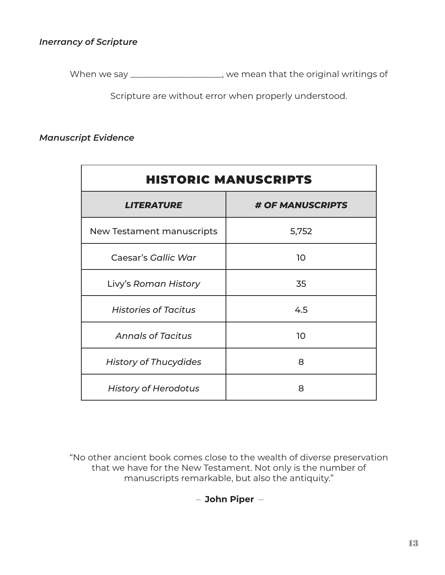## *Inerrancy of Scripture*

When we say \_\_\_\_\_\_\_\_\_\_\_\_\_\_\_\_\_\_\_\_, we mean that the original writings of

Scripture are without error when properly understood.

#### *Manuscript Evidence*

| <b>HISTORIC MANUSCRIPTS</b>  |                  |  |  |
|------------------------------|------------------|--|--|
| <b>LITERATURE</b>            | # OF MANUSCRIPTS |  |  |
| New Testament manuscripts    | 5,752            |  |  |
| Caesar's Gallic War          | 10 <sup>°</sup>  |  |  |
| Livy's Roman History         | 35               |  |  |
| <b>Histories of Tacitus</b>  | 4.5              |  |  |
| <b>Annals of Tacitus</b>     | 10 <sup>°</sup>  |  |  |
| <b>History of Thucydides</b> | 8                |  |  |
| <b>History of Herodotus</b>  | 8                |  |  |

"No other ancient book comes close to the wealth of diverse preservation that we have for the New Testament. Not only is the number of manuscripts remarkable, but also the antiquity."

– **John Piper** –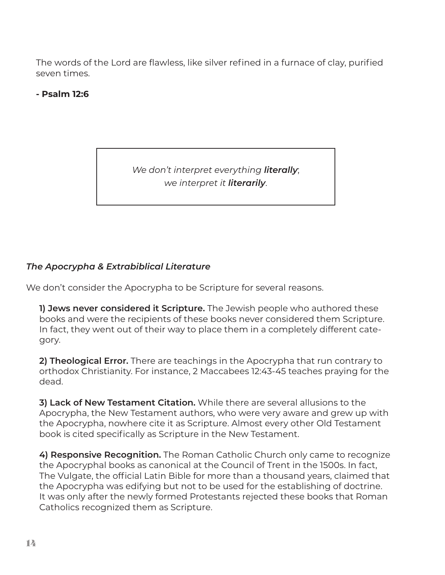The words of the Lord are flawless, like silver refined in a furnace of clay, purified seven times.

# **- Psalm 12:6**

*We don't interpret everything literally*; *we interpret it literarily*.

# *The Apocrypha & Extrabiblical Literature*

We don't consider the Apocrypha to be Scripture for several reasons.

**1) Jews never considered it Scripture.** The Jewish people who authored these books and were the recipients of these books never considered them Scripture. In fact, they went out of their way to place them in a completely different category.

**2) Theological Error.** There are teachings in the Apocrypha that run contrary to orthodox Christianity. For instance, 2 Maccabees 12:43-45 teaches praying for the dead.

**3) Lack of New Testament Citation.** While there are several allusions to the Apocrypha, the New Testament authors, who were very aware and grew up with the Apocrypha, nowhere cite it as Scripture. Almost every other Old Testament book is cited specifically as Scripture in the New Testament.

**4) Responsive Recognition.** The Roman Catholic Church only came to recognize the Apocryphal books as canonical at the Council of Trent in the 1500s. In fact, The Vulgate, the official Latin Bible for more than a thousand years, claimed that the Apocrypha was edifying but not to be used for the establishing of doctrine. It was only after the newly formed Protestants rejected these books that Roman Catholics recognized them as Scripture.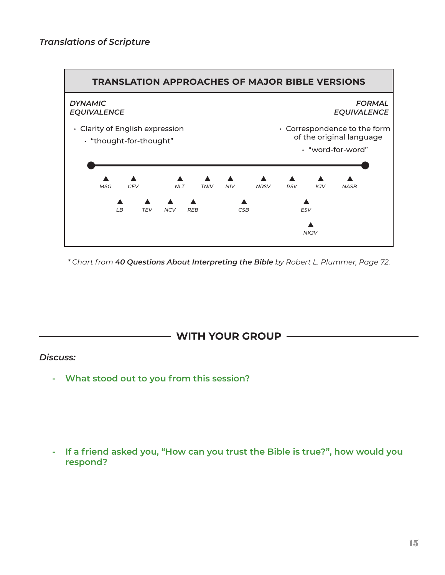

*\* Chart from 40 Questions About Interpreting the Bible by Robert L. Plummer, Page 72.*



#### *Discuss:*

**- What stood out to you from this session?**

**- If a friend asked you, "How can you trust the Bible is true?", how would you respond?**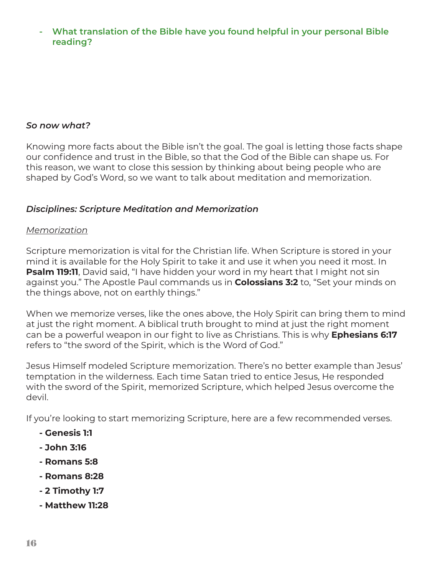**- What translation of the Bible have you found helpful in your personal Bible reading?**

#### *So now what?*

Knowing more facts about the Bible isn't the goal. The goal is letting those facts shape our confidence and trust in the Bible, so that the God of the Bible can shape us. For this reason, we want to close this session by thinking about being people who are shaped by God's Word, so we want to talk about meditation and memorization.

#### *Disciplines: Scripture Meditation and Memorization*

#### *Memorization*

Scripture memorization is vital for the Christian life. When Scripture is stored in your mind it is available for the Holy Spirit to take it and use it when you need it most. In **Psalm 119:11**, David said, "I have hidden your word in my heart that I might not sin against you." The Apostle Paul commands us in **Colossians 3:2** to, "Set your minds on the things above, not on earthly things."

When we memorize verses, like the ones above, the Holy Spirit can bring them to mind at just the right moment. A biblical truth brought to mind at just the right moment can be a powerful weapon in our fight to live as Christians. This is why **Ephesians 6:17** refers to "the sword of the Spirit, which is the Word of God."

Jesus Himself modeled Scripture memorization. There's no better example than Jesus' temptation in the wilderness. Each time Satan tried to entice Jesus, He responded with the sword of the Spirit, memorized Scripture, which helped Jesus overcome the devil.

If you're looking to start memorizing Scripture, here are a few recommended verses.

- **Genesis 1:1**
- **John 3:16**
- **Romans 5:8**
- **Romans 8:28**
- **2 Timothy 1:7**
- **Matthew 11:28**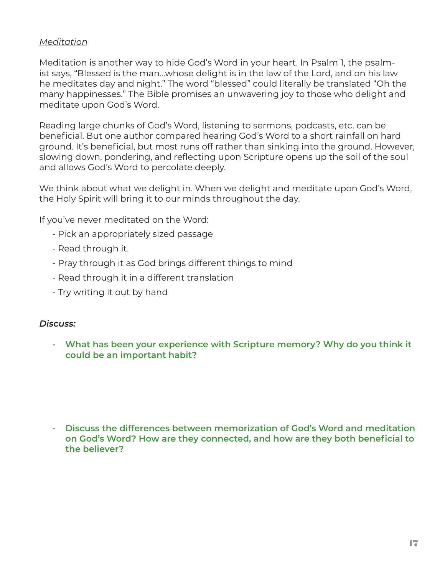### *Meditation*

Meditation is another way to hide God's Word in your heart. In Psalm 1, the psalmist says, "Blessed is the man…whose delight is in the law of the Lord, and on his law he meditates day and night." The word "blessed" could literally be translated "Oh the many happinesses." The Bible promises an unwavering joy to those who delight and meditate upon God's Word.

Reading large chunks of God's Word, listening to sermons, podcasts, etc. can be beneficial. But one author compared hearing God's Word to a short rainfall on hard ground. It's beneficial, but most runs off rather than sinking into the ground. However, slowing down, pondering, and reflecting upon Scripture opens up the soil of the soul and allows God's Word to percolate deeply.

We think about what we delight in. When we delight and meditate upon God's Word, the Holy Spirit will bring it to our minds throughout the day.

If you've never meditated on the Word:

- Pick an appropriately sized passage
- Read through it.
- Pray through it as God brings different things to mind
- Read through it in a different translation
- Try writing it out by hand

#### *Discuss:*

**- What has been your experience with Scripture memory? Why do you think it could be an important habit?**

**- Discuss the differences between memorization of God's Word and meditation on God's Word? How are they connected, and how are they both beneficial to the believer?**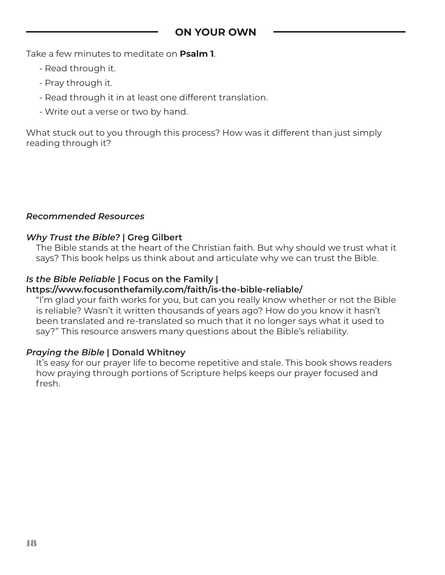Take a few minutes to meditate on **Psalm 1**.

- Read through it.
- Pray through it.
- Read through it in at least one different translation.
- Write out a verse or two by hand.

What stuck out to you through this process? How was it different than just simply reading through it?

#### *Recommended Resources*

#### *Why Trust the Bible?* **| Greg Gilbert**

The Bible stands at the heart of the Christian faith. But why should we trust what it says? This book helps us think about and articulate why we can trust the Bible.

#### *Is the Bible Reliable* **| Focus on the Family |**

#### **https://www.focusonthefamily.com/faith/is-the-bible-reliable/**

"I'm glad your faith works for you, but can you really know whether or not the Bible is reliable? Wasn't it written thousands of years ago? How do you know it hasn't been translated and re-translated so much that it no longer says what it used to say?" This resource answers many questions about the Bible's reliability.

#### *Praying the Bible* **| Donald Whitney**

It's easy for our prayer life to become repetitive and stale. This book shows readers how praying through portions of Scripture helps keeps our prayer focused and fresh.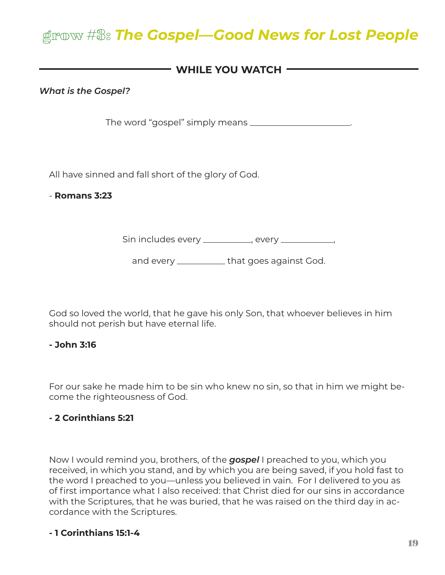# grow #3: *The Gospel—Good News for Lost People*

# - WHILE YOU WATCH **-**

*What is the Gospel?*

The word "gospel" simply means \_\_\_\_\_\_\_\_\_\_\_\_\_\_\_\_\_\_\_\_\_\_\_.

All have sinned and fall short of the glory of God.

- **Romans 3:23**

Sin includes every \_\_\_\_\_\_\_\_\_\_, every \_\_\_\_\_\_\_\_\_\_,

and every \_\_\_\_\_\_\_\_\_\_\_ that goes against God.

God so loved the world, that he gave his only Son, that whoever believes in him should not perish but have eternal life.

#### **- John 3:16**

For our sake he made him to be sin who knew no sin, so that in him we might become the righteousness of God.

#### **- 2 Corinthians 5:21**

Now I would remind you, brothers, of the *gospel* I preached to you, which you received, in which you stand, and by which you are being saved, if you hold fast to the word I preached to you—unless you believed in vain. For I delivered to you as of first importance what I also received: that Christ died for our sins in accordance with the Scriptures, that he was buried, that he was raised on the third day in accordance with the Scriptures.

# **- 1 Corinthians 15:1-4**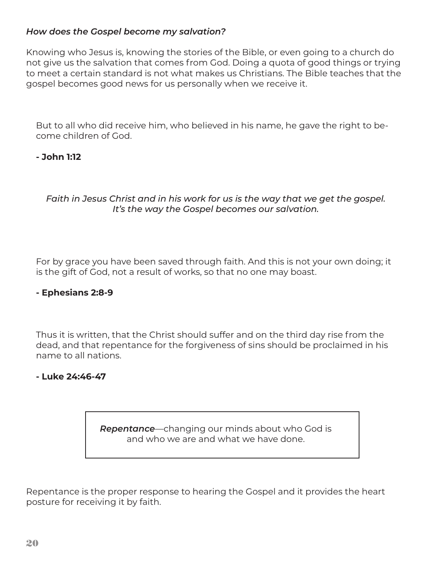## *How does the Gospel become my salvation?*

Knowing who Jesus is, knowing the stories of the Bible, or even going to a church do not give us the salvation that comes from God. Doing a quota of good things or trying to meet a certain standard is not what makes us Christians. The Bible teaches that the gospel becomes good news for us personally when we receive it.

But to all who did receive him, who believed in his name, he gave the right to become children of God.

## **- John 1:12**

*Faith in Jesus Christ and in his work for us is the way that we get the gospel. It's the way the Gospel becomes our salvation.*

For by grace you have been saved through faith. And this is not your own doing; it is the gift of God, not a result of works, so that no one may boast.

#### **- Ephesians 2:8-9**

Thus it is written, that the Christ should suffer and on the third day rise from the dead, and that repentance for the forgiveness of sins should be proclaimed in his name to all nations.

#### **- Luke 24:46-47**

*Repentance*—changing our minds about who God is and who we are and what we have done.

Repentance is the proper response to hearing the Gospel and it provides the heart posture for receiving it by faith.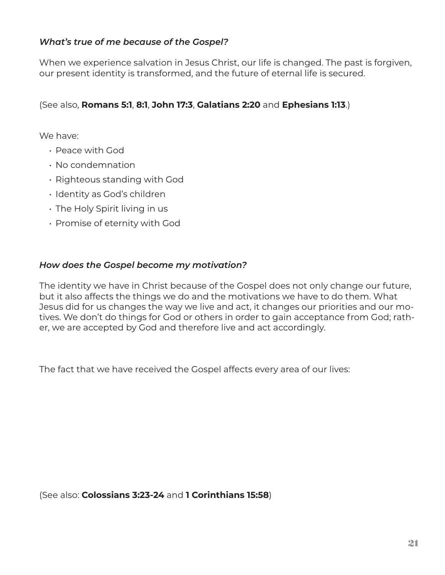## *What's true of me because of the Gospel?*

When we experience salvation in Jesus Christ, our life is changed. The past is forgiven, our present identity is transformed, and the future of eternal life is secured.

# (See also, **Romans 5:1**, **8:1**, **John 17:3**, **Galatians 2:20** and **Ephesians 1:13**.)

We have:

- Peace with God
- No condemnation
- Righteous standing with God
- Identity as God's children
- The Holy Spirit living in us
- Promise of eternity with God

#### *How does the Gospel become my motivation?*

The identity we have in Christ because of the Gospel does not only change our future, but it also affects the things we do and the motivations we have to do them. What Jesus did for us changes the way we live and act, it changes our priorities and our motives. We don't do things for God or others in order to gain acceptance from God; rather, we are accepted by God and therefore live and act accordingly.

The fact that we have received the Gospel affects every area of our lives:

(See also: **Colossians 3:23-24** and **1 Corinthians 15:58**)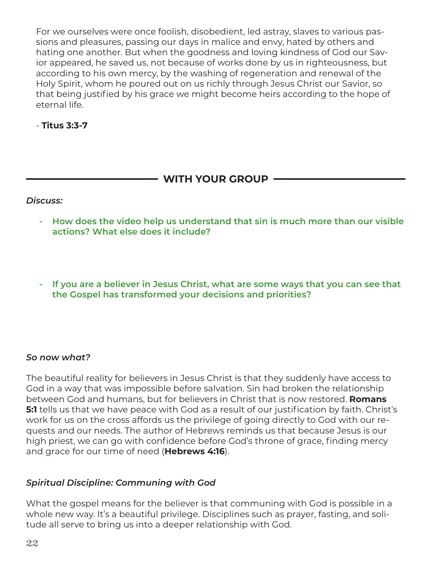For we ourselves were once foolish, disobedient, led astray, slaves to various passions and pleasures, passing our days in malice and envy, hated by others and hating one another. But when the goodness and loving kindness of God our Savior appeared, he saved us, not because of works done by us in righteousness, but according to his own mercy, by the washing of regeneration and renewal of the Holy Spirit, whom he poured out on us richly through Jesus Christ our Savior, so that being justified by his grace we might become heirs according to the hope of eternal life.

- **Titus 3:3-7**

# **WITH YOUR GROUP**

#### *Discuss:*

- **How does the video help us understand that sin is much more than our visible actions? What else does it include?**
- **- If you are a believer in Jesus Christ, what are some ways that you can see that the Gospel has transformed your decisions and priorities?**

#### *So now what?*

The beautiful reality for believers in Jesus Christ is that they suddenly have access to God in a way that was impossible before salvation. Sin had broken the relationship between God and humans, but for believers in Christ that is now restored. **Romans 5:1** tells us that we have peace with God as a result of our justification by faith. Christ's work for us on the cross affords us the privilege of going directly to God with our requests and our needs. The author of Hebrews reminds us that because Jesus is our high priest, we can go with confidence before God's throne of grace, finding mercy and grace for our time of need (**Hebrews 4:16**).

#### *Spiritual Discipline: Communing with God*

What the gospel means for the believer is that communing with God is possible in a whole new way. It's a beautiful privilege. Disciplines such as prayer, fasting, and solitude all serve to bring us into a deeper relationship with God.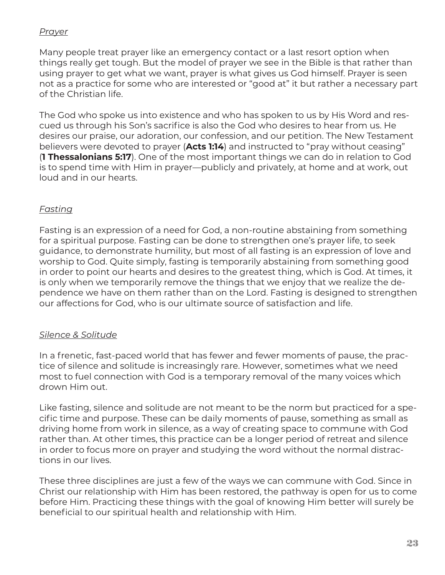# *Prayer*

Many people treat prayer like an emergency contact or a last resort option when things really get tough. But the model of prayer we see in the Bible is that rather than using prayer to get what we want, prayer is what gives us God himself. Prayer is seen not as a practice for some who are interested or "good at" it but rather a necessary part of the Christian life.

The God who spoke us into existence and who has spoken to us by His Word and rescued us through his Son's sacrifice is also the God who desires to hear from us. He desires our praise, our adoration, our confession, and our petition. The New Testament believers were devoted to prayer (**Acts 1:14**) and instructed to "pray without ceasing" (**1 Thessalonians 5:17**). One of the most important things we can do in relation to God is to spend time with Him in prayer—publicly and privately, at home and at work, out loud and in our hearts.

# *Fasting*

Fasting is an expression of a need for God, a non-routine abstaining from something for a spiritual purpose. Fasting can be done to strengthen one's prayer life, to seek guidance, to demonstrate humility, but most of all fasting is an expression of love and worship to God. Quite simply, fasting is temporarily abstaining from something good in order to point our hearts and desires to the greatest thing, which is God. At times, it is only when we temporarily remove the things that we enjoy that we realize the dependence we have on them rather than on the Lord. Fasting is designed to strengthen our affections for God, who is our ultimate source of satisfaction and life.

# *Silence & Solitude*

In a frenetic, fast-paced world that has fewer and fewer moments of pause, the practice of silence and solitude is increasingly rare. However, sometimes what we need most to fuel connection with God is a temporary removal of the many voices which drown Him out.

Like fasting, silence and solitude are not meant to be the norm but practiced for a specific time and purpose. These can be daily moments of pause, something as small as driving home from work in silence, as a way of creating space to commune with God rather than. At other times, this practice can be a longer period of retreat and silence in order to focus more on prayer and studying the word without the normal distractions in our lives.

These three disciplines are just a few of the ways we can commune with God. Since in Christ our relationship with Him has been restored, the pathway is open for us to come before Him. Practicing these things with the goal of knowing Him better will surely be beneficial to our spiritual health and relationship with Him.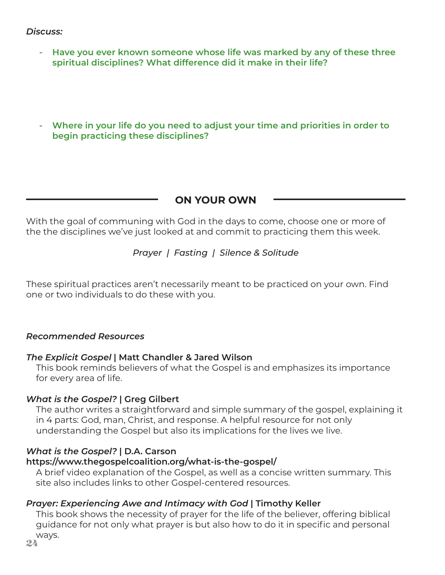#### *Discuss:*

- **Have you ever known someone whose life was marked by any of these three spiritual disciplines? What difference did it make in their life?**
- **- Where in your life do you need to adjust your time and priorities in order to begin practicing these disciplines?**

# **ON YOUR OWN**

With the goal of communing with God in the days to come, choose one or more of the the disciplines we've just looked at and commit to practicing them this week.

## *Prayer | Fasting | Silence & Solitude*

These spiritual practices aren't necessarily meant to be practiced on your own. Find one or two individuals to do these with you.

#### *Recommended Resources*

#### *The Explicit Gospel* **| Matt Chandler & Jared Wilson**

This book reminds believers of what the Gospel is and emphasizes its importance for every area of life.

#### *What is the Gospel?* **| Greg Gilbert**

The author writes a straightforward and simple summary of the gospel, explaining it in 4 parts: God, man, Christ, and response. A helpful resource for not only understanding the Gospel but also its implications for the lives we live.

#### *What is the Gospel?* **| D.A. Carson**

#### **https://www.thegospelcoalition.org/what-is-the-gospel/**

A brief video explanation of the Gospel, as well as a concise written summary. This site also includes links to other Gospel-centered resources.

#### *Prayer: Experiencing Awe and Intimacy with God* **| Timothy Keller**

This book shows the necessity of prayer for the life of the believer, offering biblical guidance for not only what prayer is but also how to do it in specific and personal ways.

24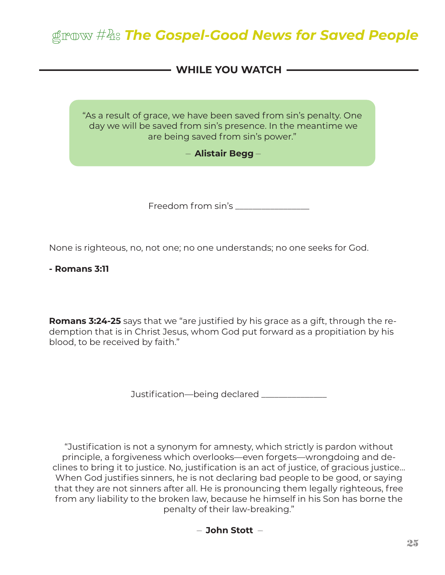# grow #4: *The Gospel-Good News for Saved People*

# - WHILE YOU WATCH **-**

"As a result of grace, we have been saved from sin's penalty. One day we will be saved from sin's presence. In the meantime we are being saved from sin's power."

#### – **Alistair Begg** –

Freedom from sin's \_\_\_\_\_\_\_\_\_\_\_\_\_\_\_\_\_

None is righteous, no, not one; no one understands; no one seeks for God.

**- Romans 3:11**

**Romans 3:24-25** says that we "are justified by his grace as a gift, through the redemption that is in Christ Jesus, whom God put forward as a propitiation by his blood, to be received by faith."

Justification—being declared \_\_\_\_\_\_\_\_\_\_\_\_\_

"Justification is not a synonym for amnesty, which strictly is pardon without principle, a forgiveness which overlooks—even forgets—wrongdoing and declines to bring it to justice. No, justification is an act of justice, of gracious justice… When God justifies sinners, he is not declaring bad people to be good, or saying that they are not sinners after all. He is pronouncing them legally righteous, free from any liability to the broken law, because he himself in his Son has borne the penalty of their law-breaking."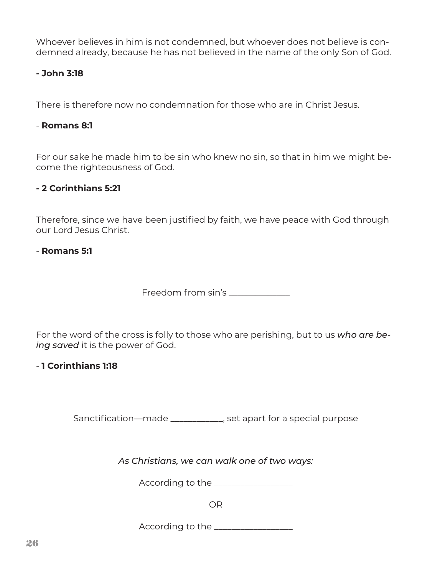Whoever believes in him is not condemned, but whoever does not believe is condemned already, because he has not believed in the name of the only Son of God.

## **- John 3:18**

There is therefore now no condemnation for those who are in Christ Jesus.

#### - **Romans 8:1**

For our sake he made him to be sin who knew no sin, so that in him we might become the righteousness of God.

#### **- 2 Corinthians 5:21**

Therefore, since we have been justified by faith, we have peace with God through our Lord Jesus Christ.

#### - **Romans 5:1**

Freedom from sin's

For the word of the cross is folly to those who are perishing, but to us *who are being saved* it is the power of God.

#### - **1 Corinthians 1:18**

Sanctification—made \_\_\_\_\_\_\_\_\_\_\_\_, set apart for a special purpose

*As Christians, we can walk one of two ways:*

According to the \_\_\_\_\_\_\_\_\_\_\_\_\_\_\_\_\_\_

OR

According to the \_\_\_\_\_\_\_\_\_\_\_\_\_\_\_\_\_\_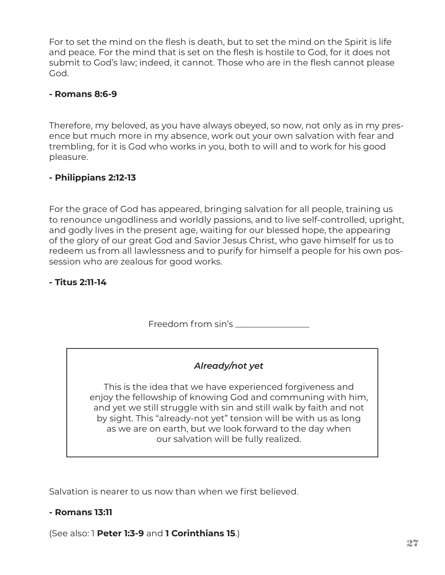For to set the mind on the flesh is death, but to set the mind on the Spirit is life and peace. For the mind that is set on the flesh is hostile to God, for it does not submit to God's law; indeed, it cannot. Those who are in the flesh cannot please God.

#### **- Romans 8:6-9**

Therefore, my beloved, as you have always obeyed, so now, not only as in my presence but much more in my absence, work out your own salvation with fear and trembling, for it is God who works in you, both to will and to work for his good pleasure.

#### **- Philippians 2:12-13**

For the grace of God has appeared, bringing salvation for all people, training us to renounce ungodliness and worldly passions, and to live self-controlled, upright, and godly lives in the present age, waiting for our blessed hope, the appearing of the glory of our great God and Savior Jesus Christ, who gave himself for us to redeem us from all lawlessness and to purify for himself a people for his own possession who are zealous for good works.

#### **- Titus 2:11-14**

Freedom from sin's

# *Already/not yet*

This is the idea that we have experienced forgiveness and enjoy the fellowship of knowing God and communing with him, and yet we still struggle with sin and still walk by faith and not by sight. This "already-not yet" tension will be with us as long as we are on earth, but we look forward to the day when our salvation will be fully realized.

Salvation is nearer to us now than when we first believed.

#### **- Romans 13:11**

(See also: 1 **Peter 1:3-9** and **1 Corinthians 15**.)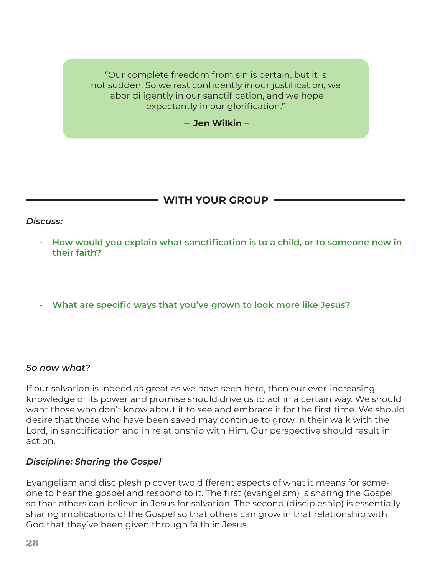"Our complete freedom from sin is certain, but it is not sudden. So we rest confidently in our justification, we labor diligently in our sanctification, and we hope expectantly in our glorification."

– **Jen Wilkin** –

# **WITH YOUR GROUP**

#### *Discuss:*

- **How would you explain what sanctification is to a child, or to someone new in their faith?**
- **- What are specific ways that you've grown to look more like Jesus?**

#### *So now what?*

If our salvation is indeed as great as we have seen here, then our ever-increasing knowledge of its power and promise should drive us to act in a certain way. We should want those who don't know about it to see and embrace it for the first time. We should desire that those who have been saved may continue to grow in their walk with the Lord, in sanctification and in relationship with Him. Our perspective should result in action.

#### *Discipline: Sharing the Gospel*

Evangelism and discipleship cover two different aspects of what it means for someone to hear the gospel and respond to it. The first (evangelism) is sharing the Gospel so that others can believe in Jesus for salvation. The second (discipleship) is essentially sharing implications of the Gospel so that others can grow in that relationship with God that they've been given through faith in Jesus.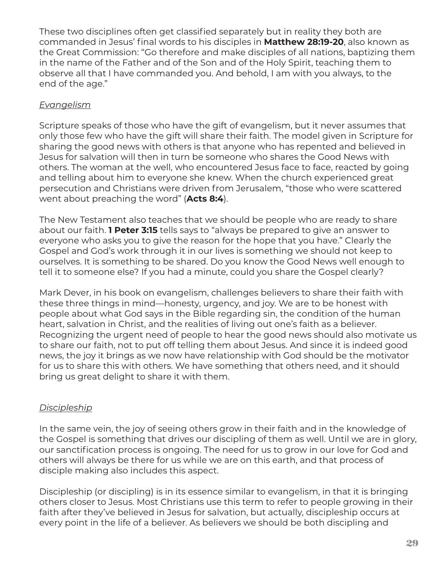These two disciplines often get classified separately but in reality they both are commanded in Jesus' final words to his disciples in **Matthew 28:19-20**, also known as the Great Commission: "Go therefore and make disciples of all nations, baptizing them in the name of the Father and of the Son and of the Holy Spirit, teaching them to observe all that I have commanded you. And behold, I am with you always, to the end of the age."

# *Evangelism*

Scripture speaks of those who have the gift of evangelism, but it never assumes that only those few who have the gift will share their faith. The model given in Scripture for sharing the good news with others is that anyone who has repented and believed in Jesus for salvation will then in turn be someone who shares the Good News with others. The woman at the well, who encountered Jesus face to face, reacted by going and telling about him to everyone she knew. When the church experienced great persecution and Christians were driven from Jerusalem, "those who were scattered went about preaching the word" (**Acts 8:4**).

The New Testament also teaches that we should be people who are ready to share about our faith. **1 Peter 3:15** tells says to "always be prepared to give an answer to everyone who asks you to give the reason for the hope that you have." Clearly the Gospel and God's work through it in our lives is something we should not keep to ourselves. It is something to be shared. Do you know the Good News well enough to tell it to someone else? If you had a minute, could you share the Gospel clearly?

Mark Dever, in his book on evangelism, challenges believers to share their faith with these three things in mind—honesty, urgency, and joy. We are to be honest with people about what God says in the Bible regarding sin, the condition of the human heart, salvation in Christ, and the realities of living out one's faith as a believer. Recognizing the urgent need of people to hear the good news should also motivate us to share our faith, not to put off telling them about Jesus. And since it is indeed good news, the joy it brings as we now have relationship with God should be the motivator for us to share this with others. We have something that others need, and it should bring us great delight to share it with them.

# *Discipleship*

In the same vein, the joy of seeing others grow in their faith and in the knowledge of the Gospel is something that drives our discipling of them as well. Until we are in glory, our sanctification process is ongoing. The need for us to grow in our love for God and others will always be there for us while we are on this earth, and that process of disciple making also includes this aspect.

Discipleship (or discipling) is in its essence similar to evangelism, in that it is bringing others closer to Jesus. Most Christians use this term to refer to people growing in their faith after they've believed in Jesus for salvation, but actually, discipleship occurs at every point in the life of a believer. As believers we should be both discipling and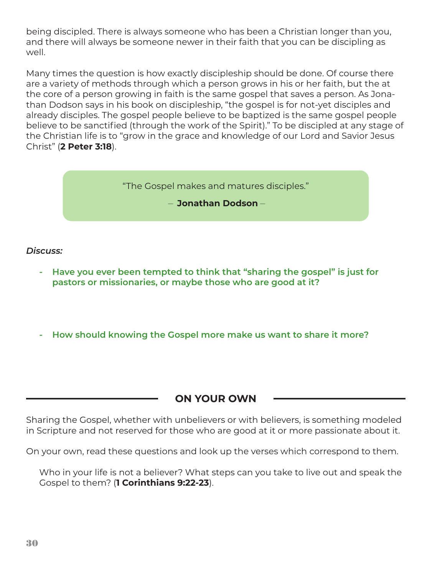being discipled. There is always someone who has been a Christian longer than you, and there will always be someone newer in their faith that you can be discipling as well.

Many times the question is how exactly discipleship should be done. Of course there are a variety of methods through which a person grows in his or her faith, but the at the core of a person growing in faith is the same gospel that saves a person. As Jonathan Dodson says in his book on discipleship, "the gospel is for not-yet disciples and already disciples. The gospel people believe to be baptized is the same gospel people believe to be sanctified (through the work of the Spirit)." To be discipled at any stage of the Christian life is to "grow in the grace and knowledge of our Lord and Savior Jesus Christ" (**2 Peter 3:18**).

"The Gospel makes and matures disciples."

– **Jonathan Dodson** –

#### *Discuss:*

- **Have you ever been tempted to think that "sharing the gospel" is just for pastors or missionaries, or maybe those who are good at it?**
- **- How should knowing the Gospel more make us want to share it more?**

**ON YOUR OWN**

Sharing the Gospel, whether with unbelievers or with believers, is something modeled in Scripture and not reserved for those who are good at it or more passionate about it.

On your own, read these questions and look up the verses which correspond to them.

Who in your life is not a believer? What steps can you take to live out and speak the Gospel to them? (**1 Corinthians 9:22-23**).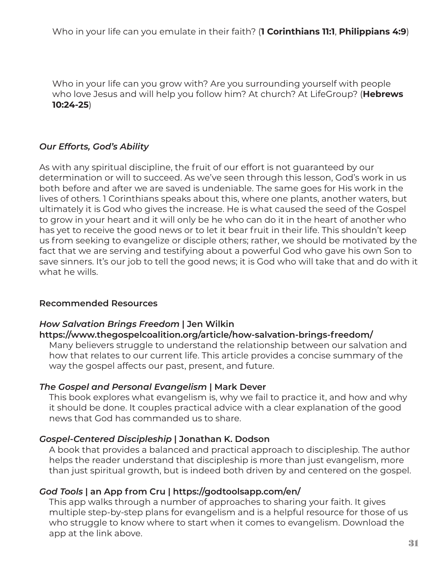Who in your life can you grow with? Are you surrounding yourself with people who love Jesus and will help you follow him? At church? At LifeGroup? (**Hebrews 10:24-25**)

# *Our Efforts, God's Ability*

As with any spiritual discipline, the fruit of our effort is not guaranteed by our determination or will to succeed. As we've seen through this lesson, God's work in us both before and after we are saved is undeniable. The same goes for His work in the lives of others. 1 Corinthians speaks about this, where one plants, another waters, but ultimately it is God who gives the increase. He is what caused the seed of the Gospel to grow in your heart and it will only be he who can do it in the heart of another who has yet to receive the good news or to let it bear fruit in their life. This shouldn't keep us from seeking to evangelize or disciple others; rather, we should be motivated by the fact that we are serving and testifying about a powerful God who gave his own Son to save sinners. It's our job to tell the good news; it is God who will take that and do with it what he wills.

# **Recommended Resources**

#### *How Salvation Brings Freedom* **| Jen Wilkin https://www.thegospelcoalition.org/article/how-salvation-brings-freedom/**

Many believers struggle to understand the relationship between our salvation and how that relates to our current life. This article provides a concise summary of the way the gospel affects our past, present, and future.

# *The Gospel and Personal Evangelism* **| Mark Dever**

This book explores what evangelism is, why we fail to practice it, and how and why it should be done. It couples practical advice with a clear explanation of the good news that God has commanded us to share.

# *Gospel-Centered Discipleship* **| Jonathan K. Dodson**

A book that provides a balanced and practical approach to discipleship. The author helps the reader understand that discipleship is more than just evangelism, more than just spiritual growth, but is indeed both driven by and centered on the gospel.

# *God Tools* **| an App from Cru | https://godtoolsapp.com/en/**

This app walks through a number of approaches to sharing your faith. It gives multiple step-by-step plans for evangelism and is a helpful resource for those of us who struggle to know where to start when it comes to evangelism. Download the app at the link above.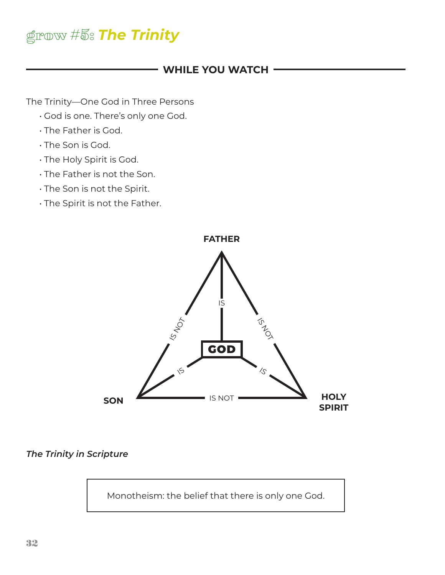# grow #5: *The Trinity*

# **WHILE YOU WATCH**

The Trinity—One God in Three Persons

- God is one. There's only one God.
- The Father is God.
- The Son is God.
- The Holy Spirit is God.
- The Father is not the Son.
- The Son is not the Spirit.
- The Spirit is not the Father.



*The Trinity in Scripture*

Monotheism: the belief that there is only one God.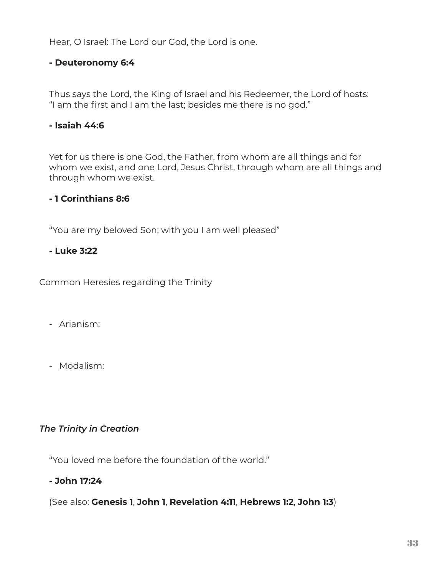Hear, O Israel: The Lord our God, the Lord is one.

#### **- Deuteronomy 6:4**

Thus says the Lord, the King of Israel and his Redeemer, the Lord of hosts: "I am the first and I am the last; besides me there is no god."

## **- Isaiah 44:6**

Yet for us there is one God, the Father, from whom are all things and for whom we exist, and one Lord, Jesus Christ, through whom are all things and through whom we exist.

## **- 1 Corinthians 8:6**

"You are my beloved Son; with you I am well pleased"

#### **- Luke 3:22**

Common Heresies regarding the Trinity

- Arianism:
- Modalism:

# *The Trinity in Creation*

"You loved me before the foundation of the world."

#### **- John 17:24**

(See also: **Genesis 1**, **John 1**, **Revelation 4:11**, **Hebrews 1:2**, **John 1:3**)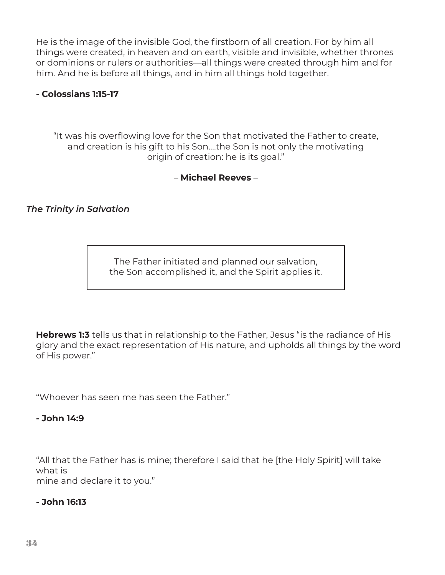He is the image of the invisible God, the firstborn of all creation. For by him all things were created, in heaven and on earth, visible and invisible, whether thrones or dominions or rulers or authorities—all things were created through him and for him. And he is before all things, and in him all things hold together.

## **- Colossians 1:15-17**

"It was his overflowing love for the Son that motivated the Father to create, and creation is his gift to his Son….the Son is not only the motivating origin of creation: he is its goal."

– **Michael Reeves** –

# *The Trinity in Salvation*

The Father initiated and planned our salvation, the Son accomplished it, and the Spirit applies it.

**Hebrews 1:3** tells us that in relationship to the Father, Jesus "is the radiance of His glory and the exact representation of His nature, and upholds all things by the word of His power."

"Whoever has seen me has seen the Father."

#### **- John 14:9**

"All that the Father has is mine; therefore I said that he [the Holy Spirit] will take what is mine and declare it to you."

#### **- John 16:13**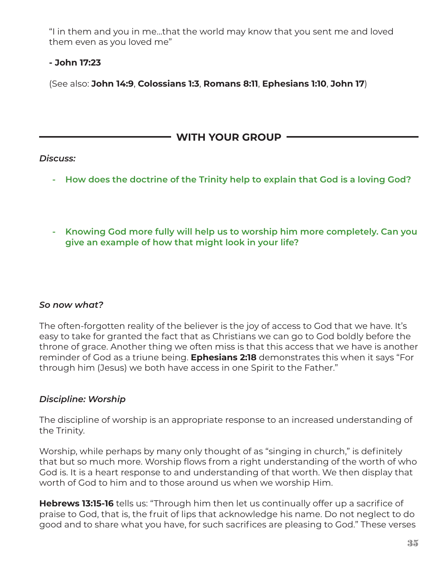"I in them and you in me…that the world may know that you sent me and loved them even as you loved me"

# **- John 17:23**

(See also: **John 14:9**, **Colossians 1:3**, **Romans 8:11**, **Ephesians 1:10**, **John 17**)

# **WITH YOUR GROUP**

# *Discuss:*

- **How does the doctrine of the Trinity help to explain that God is a loving God?**
- **- Knowing God more fully will help us to worship him more completely. Can you give an example of how that might look in your life?**

# *So now what?*

The often-forgotten reality of the believer is the joy of access to God that we have. It's easy to take for granted the fact that as Christians we can go to God boldly before the throne of grace. Another thing we often miss is that this access that we have is another reminder of God as a triune being. **Ephesians 2:18** demonstrates this when it says "For through him (Jesus) we both have access in one Spirit to the Father."

# *Discipline: Worship*

The discipline of worship is an appropriate response to an increased understanding of the Trinity.

Worship, while perhaps by many only thought of as "singing in church," is definitely that but so much more. Worship flows from a right understanding of the worth of who God is. It is a heart response to and understanding of that worth. We then display that worth of God to him and to those around us when we worship Him.

**Hebrews 13:15-16** tells us: "Through him then let us continually offer up a sacrifice of praise to God, that is, the fruit of lips that acknowledge his name. Do not neglect to do good and to share what you have, for such sacrifices are pleasing to God." These verses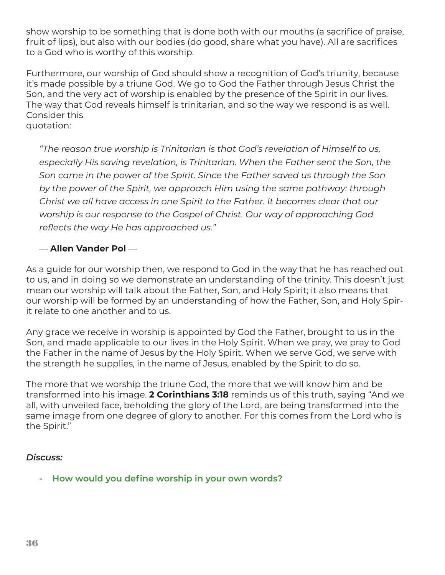show worship to be something that is done both with our mouths (a sacrifice of praise, fruit of lips), but also with our bodies (do good, share what you have). All are sacrifices to a God who is worthy of this worship.

Furthermore, our worship of God should show a recognition of God's triunity, because it's made possible by a triune God. We go to God the Father through Jesus Christ the Son, and the very act of worship is enabled by the presence of the Spirit in our lives. The way that God reveals himself is trinitarian, and so the way we respond is as well. Consider this quotation:

*"The reason true worship is Trinitarian is that God's revelation of Himself to us, especially His saving revelation, is Trinitarian. When the Father sent the Son, the Son came in the power of the Spirit. Since the Father saved us through the Son by the power of the Spirit, we approach Him using the same pathway: through Christ we all have access in one Spirit to the Father. It becomes clear that our worship is our response to the Gospel of Christ. Our way of approaching God reflects the way He has approached us."*

# — **Allen Vander Pol** —

As a guide for our worship then, we respond to God in the way that he has reached out to us, and in doing so we demonstrate an understanding of the trinity. This doesn't just mean our worship will talk about the Father, Son, and Holy Spirit; it also means that our worship will be formed by an understanding of how the Father, Son, and Holy Spirit relate to one another and to us.

Any grace we receive in worship is appointed by God the Father, brought to us in the Son, and made applicable to our lives in the Holy Spirit. When we pray, we pray to God the Father in the name of Jesus by the Holy Spirit. When we serve God, we serve with the strength he supplies, in the name of Jesus, enabled by the Spirit to do so.

The more that we worship the triune God, the more that we will know him and be transformed into his image. **2 Corinthians 3:18** reminds us of this truth, saying "And we all, with unveiled face, beholding the glory of the Lord, are being transformed into the same image from one degree of glory to another. For this comes from the Lord who is the Spirit."

#### *Discuss:*

**- How would you define worship in your own words?**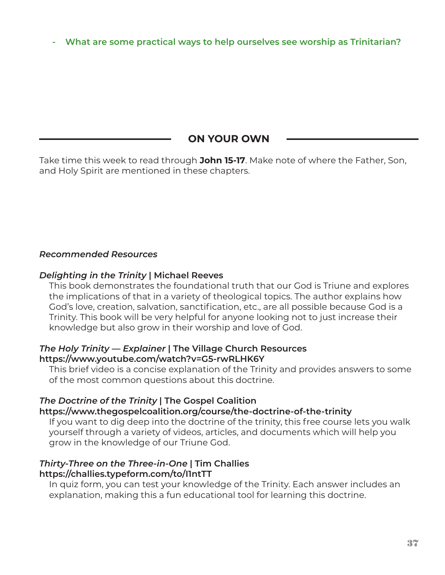**- What are some practical ways to help ourselves see worship as Trinitarian?**

# **ON YOUR OWN**

Take time this week to read through **John 15-17**. Make note of where the Father, Son, and Holy Spirit are mentioned in these chapters.

## *Recommended Resources*

#### *Delighting in the Trinity* **| Michael Reeves**

This book demonstrates the foundational truth that our God is Triune and explores the implications of that in a variety of theological topics. The author explains how God's love, creation, salvation, sanctification, etc., are all possible because God is a Trinity. This book will be very helpful for anyone looking not to just increase their knowledge but also grow in their worship and love of God.

#### *The Holy Trinity — Explainer* **| The Village Church Resources https://www.youtube.com/watch?v=G5-rwRLHK6Y**

This brief video is a concise explanation of the Trinity and provides answers to some of the most common questions about this doctrine.

#### *The Doctrine of the Trinity* **| The Gospel Coalition**

#### **https://www.thegospelcoalition.org/course/the-doctrine-of-the-trinity**

If you want to dig deep into the doctrine of the trinity, this free course lets you walk yourself through a variety of videos, articles, and documents which will help you grow in the knowledge of our Triune God.

#### *Thirty-Three on the Three-in-One* **| Tim Challies https://challies.typeform.com/to/I1ntTT**

In quiz form, you can test your knowledge of the Trinity. Each answer includes an explanation, making this a fun educational tool for learning this doctrine.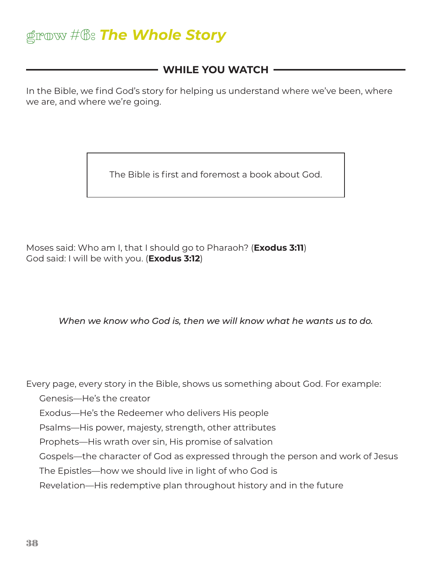# grow #6: *The Whole Story*

# **WHILE YOU WATCH**

In the Bible, we find God's story for helping us understand where we've been, where we are, and where we're going.

The Bible is first and foremost a book about God.

Moses said: Who am I, that I should go to Pharaoh? (**Exodus 3:11**) God said: I will be with you. (**Exodus 3:12**)

*When we know who God is, then we will know what he wants us to do.*

Every page, every story in the Bible, shows us something about God. For example:

Genesis—He's the creator

Exodus—He's the Redeemer who delivers His people

Psalms—His power, majesty, strength, other attributes

Prophets—His wrath over sin, His promise of salvation

Gospels—the character of God as expressed through the person and work of Jesus

The Epistles—how we should live in light of who God is

Revelation—His redemptive plan throughout history and in the future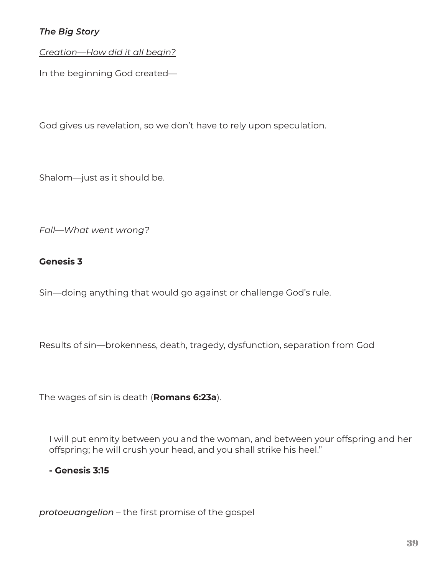# *The Big Story*

*Creation—How did it all begin?*

In the beginning God created—

God gives us revelation, so we don't have to rely upon speculation.

Shalom—just as it should be.

## *Fall—What went wrong?*

## **Genesis 3**

Sin—doing anything that would go against or challenge God's rule.

Results of sin—brokenness, death, tragedy, dysfunction, separation from God

The wages of sin is death (**Romans 6:23a**).

I will put enmity between you and the woman, and between your offspring and her offspring; he will crush your head, and you shall strike his heel."

**- Genesis 3:15**

*protoeuangelion* – the first promise of the gospel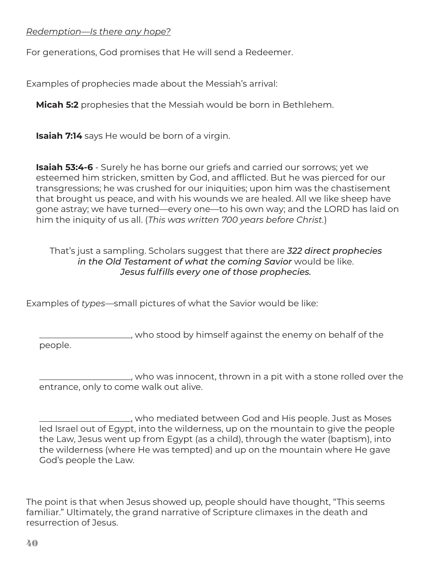#### *Redemption—Is there any hope?*

For generations, God promises that He will send a Redeemer.

Examples of prophecies made about the Messiah's arrival:

**Micah 5:2** prophesies that the Messiah would be born in Bethlehem.

**Isaiah 7:14** says He would be born of a virgin.

**Isaiah 53:4-6** - Surely he has borne our griefs and carried our sorrows; yet we esteemed him stricken, smitten by God, and afflicted. But he was pierced for our transgressions; he was crushed for our iniquities; upon him was the chastisement that brought us peace, and with his wounds we are healed. All we like sheep have gone astray; we have turned—every one—to his own way; and the LORD has laid on him the iniquity of us all. (*This was written 700 years before Christ.*)

That's just a sampling. Scholars suggest that there are *322 direct prophecies in the Old Testament of what the coming Savior* would be like. *Jesus fulfills every one of those prophecies.*

Examples of *types*—small pictures of what the Savior would be like:

\_\_\_\_\_\_\_\_\_\_\_\_\_\_\_\_\_\_\_\_\_, who stood by himself against the enemy on behalf of the people.

\_\_\_\_\_\_\_\_\_\_\_\_\_\_\_\_\_\_\_\_\_, who was innocent, thrown in a pit with a stone rolled over the entrance, only to come walk out alive.

\_\_\_\_\_\_\_\_\_\_\_\_\_\_\_\_\_\_\_\_\_, who mediated between God and His people. Just as Moses led Israel out of Egypt, into the wilderness, up on the mountain to give the people the Law, Jesus went up from Egypt (as a child), through the water (baptism), into the wilderness (where He was tempted) and up on the mountain where He gave God's people the Law.

The point is that when Jesus showed up, people should have thought, "This seems familiar." Ultimately, the grand narrative of Scripture climaxes in the death and resurrection of Jesus.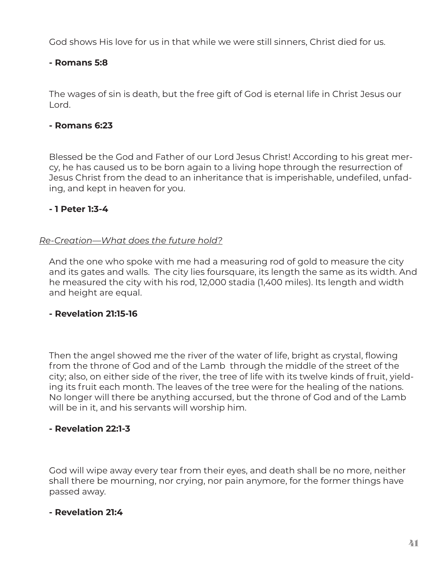God shows His love for us in that while we were still sinners, Christ died for us.

## **- Romans 5:8**

The wages of sin is death, but the free gift of God is eternal life in Christ Jesus our Lord.

## **- Romans 6:23**

Blessed be the God and Father of our Lord Jesus Christ! According to his great mercy, he has caused us to be born again to a living hope through the resurrection of Jesus Christ from the dead to an inheritance that is imperishable, undefiled, unfading, and kept in heaven for you.

## **- 1 Peter 1:3-4**

#### *Re-Creation—What does the future hold?*

And the one who spoke with me had a measuring rod of gold to measure the city and its gates and walls. The city lies foursquare, its length the same as its width. And he measured the city with his rod, 12,000 stadia (1,400 miles). Its length and width and height are equal.

#### **- Revelation 21:15-16**

Then the angel showed me the river of the water of life, bright as crystal, flowing from the throne of God and of the Lamb through the middle of the street of the city; also, on either side of the river, the tree of life with its twelve kinds of fruit, yielding its fruit each month. The leaves of the tree were for the healing of the nations. No longer will there be anything accursed, but the throne of God and of the Lamb will be in it, and his servants will worship him.

#### **- Revelation 22:1-3**

God will wipe away every tear from their eyes, and death shall be no more, neither shall there be mourning, nor crying, nor pain anymore, for the former things have passed away.

#### **- Revelation 21:4**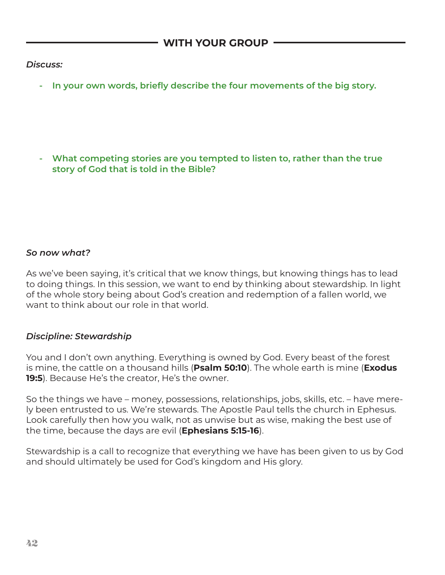## *Discuss:*

**- In your own words, briefly describe the four movements of the big story.**

**- What competing stories are you tempted to listen to, rather than the true story of God that is told in the Bible?**

# *So now what?*

As we've been saying, it's critical that we know things, but knowing things has to lead to doing things. In this session, we want to end by thinking about stewardship. In light of the whole story being about God's creation and redemption of a fallen world, we want to think about our role in that world.

#### *Discipline: Stewardship*

You and I don't own anything. Everything is owned by God. Every beast of the forest is mine, the cattle on a thousand hills (**Psalm 50:10**). The whole earth is mine (**Exodus 19:5**). Because He's the creator, He's the owner.

So the things we have – money, possessions, relationships, jobs, skills, etc. – have merely been entrusted to us. We're stewards. The Apostle Paul tells the church in Ephesus. Look carefully then how you walk, not as unwise but as wise, making the best use of the time, because the days are evil (**Ephesians 5:15-16**).

Stewardship is a call to recognize that everything we have has been given to us by God and should ultimately be used for God's kingdom and His glory.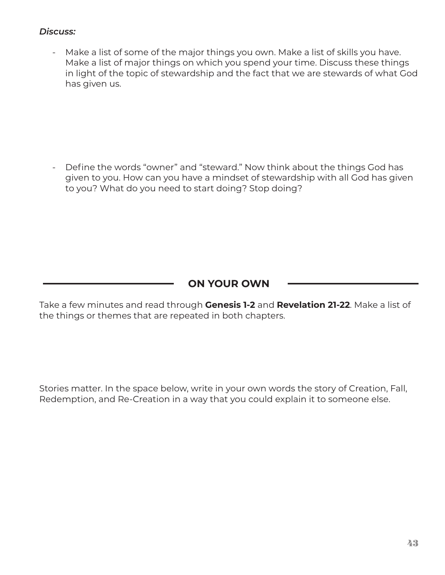# *Discuss:*

Make a list of some of the major things you own. Make a list of skills you have. Make a list of major things on which you spend your time. Discuss these things in light of the topic of stewardship and the fact that we are stewards of what God has given us.

Define the words "owner" and "steward." Now think about the things God has given to you. How can you have a mindset of stewardship with all God has given to you? What do you need to start doing? Stop doing?

# **ON YOUR OWN**

Take a few minutes and read through **Genesis 1-2** and **Revelation 21-22**. Make a list of the things or themes that are repeated in both chapters.

Stories matter. In the space below, write in your own words the story of Creation, Fall, Redemption, and Re-Creation in a way that you could explain it to someone else.